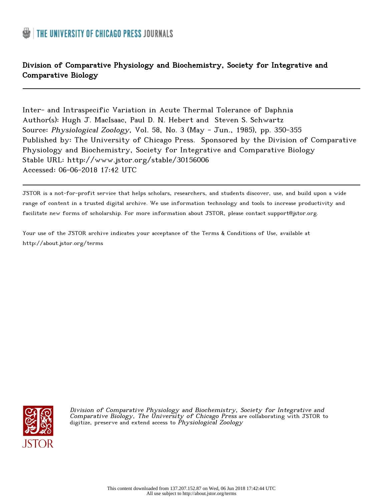# Division of Comparative Physiology and Biochemistry, Society for Integrative and Comparative Biology

Inter- and Intraspecific Variation in Acute Thermal Tolerance of Daphnia Author(s): Hugh J. MacIsaac, Paul D. N. Hebert and Steven S. Schwartz Source: Physiological Zoology, Vol. 58, No. 3 (May - Jun., 1985), pp. 350-355 Published by: The University of Chicago Press. Sponsored by the Division of Comparative Physiology and Biochemistry, Society for Integrative and Comparative Biology Stable URL: http://www.jstor.org/stable/30156006 Accessed: 06-06-2018 17:42 UTC

JSTOR is a not-for-profit service that helps scholars, researchers, and students discover, use, and build upon a wide range of content in a trusted digital archive. We use information technology and tools to increase productivity and facilitate new forms of scholarship. For more information about JSTOR, please contact support@jstor.org.

Your use of the JSTOR archive indicates your acceptance of the Terms & Conditions of Use, available at http://about.jstor.org/terms



Division of Comparative Physiology and Biochemistry, Society for Integrative and Comparative Biology, The University of Chicago Press are collaborating with JSTOR to digitize, preserve and extend access to *Physiological Zoology*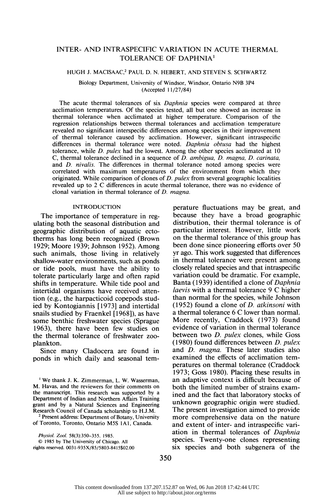# INTER- AND INTRASPECIFIC VARIATION IN ACUTE THERMAL TOLERANCE OF DAPHNIA'

#### HUGH J. MACISAAC,2 PAUL D. N. HEBERT, AND STEVEN S. SCHWARTZ

 Biology Department, University of Windsor, Windsor, Ontario N9B 3P4 (Accepted 11/27/84)

The acute thermal tolerances of six *Daphnia* species were compared at three acclimation temperatures. Of the species tested, all but one showed an increase in thermal tolerance when acclimated at higher temperature. Comparison of the regression relationships between thermal tolerances and acclimation temperature revealed no significant interspecific differences among species in their improvement of thermal tolerance caused by acclimation. However, significant intraspecific differences in thermal tolerance were noted. Daphnia obtusa had the highest tolerance, while D. pulex had the lowest. Among the other species acclimated at 10 C, thermal tolerance declined in a sequence of  $D$ . ambigua,  $D$ . magna,  $D$ . carinata, and D. nivalis. The differences in thermal tolerance noted among species were correlated with maximum temperatures of the environment from which they originated. While comparison of clones of  $D$ . pulex from several geographic localities revealed up to 2 C differences in acute thermal tolerance, there was no evidence of clonal variation in thermal tolerance of D. magna.

# INTRODUCTION

 The importance of temperature in reg ulating both the seasonal distribution and geographic distribution of aquatic ecto therms has long been recognized (Brown 1929; Moore 1939; Johnson 1952). Among such animals, those living in relatively shallow-water environments, such as ponds or tide pools, must have the ability to tolerate particularly large and often rapid shifts in temperature. While tide pool and intertidal organisms have received atten tion (e.g., the harpacticoid copepods stud ied by Kontogiannis [1973] and intertidal snails studied by Fraenkel [1968]), as have some benthic freshwater species (Sprague 1963), there have been few studies on the thermal tolerance of freshwater zoo plankton.

 Since many Cladocera are found in ponds in which daily and seasonal tem-

 'We thank J. K. Zimmerman, L. W. Wasserman, M. Havas, and the reviewers for their comments on the manuscript. This research was supported by a Department of Indian and Northern Affairs Training grant and by a Natural Sciences and Engineering Research Council of Canada scholarship to H.J.M.

<sup>2</sup> Present address: Department of Botany, University of Toronto, Toronto, Ontario M5S 1Al, Canada.

Physiol. Zool. 58(3):350-355. 1985.

 C 1985 by The University of Chicago. All rights reserved. 0031-935X/85/5803-8415\$02.00

 perature fluctuations may be great, and because they have a broad geographic distribution, their thermal tolerance is of particular interest. However, little work on the thermal tolerance of this group has been done since pioneering efforts over 50 yr ago. This work suggested that differences in thermal tolerance were present among closely related species and that intraspecific variation could be dramatic. For example, Banta (1939) identified a clone of Daphnia laevis with a thermal tolerance 9 C higher than normal for the species, while Johnson (1952) found a clone of D. atkinsoni with a thermal tolerance 6 C lower than normal. More recently, Craddock (1973) found evidence of variation in thermal tolerance between two *D. pulex* clones, while Goss (1980) found differences between  $D$ . pulex and D. magna. These later studies also examined the effects of acclimation tem peratures on thermal tolerance (Craddock 1973; Goss 1980). Placing these results in an adaptive context is difficult because of both the limited number of strains exam ined and the fact that laboratory stocks of unknown geographic origin were studied. The present investigation aimed to provide more comprehensive data on the nature and extent of inter- and intraspecific vari ation in thermal tolerances of Daphnia species. Twenty-one clones representing six species and both subgenera of the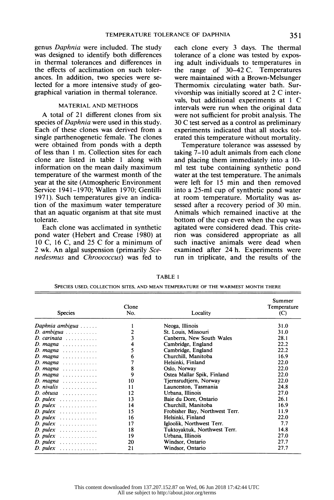genus Daphnia were included. The study was designed to identify both differences in thermal tolerances and differences in the effects of acclimation on such toler ances. In addition, two species were se lected for a more intensive study of geo graphical variation in thermal tolerance.

## MATERIAL AND METHODS

 A total of 21 different clones from six species of *Daphnia* were used in this study. Each of these clones was derived from a single parthenogenetic female. The clones were obtained from ponds with a depth of less than 1 m. Collection sites for each clone are listed in table 1 along with information on the mean daily maximum temperature of the warmest month of the year at the site (Atmospheric Environment Service 1941-1970; Wallen 1970; Gentilli 1971). Such temperatures give an indica tion of the maximum water temperature that an aquatic organism at that site must tolerate.

 Each clone was acclimated in synthetic pond water (Hebert and Crease 1980) at 10 C, 16 C, and 25 C for a minimum of 2 wk. An algal suspension (primarily Sce nedesmus and Chroococcus) was fed to  each clone every 3 days. The thermal tolerance of a clone was tested by expos ing adult individuals to temperatures in the range of 30-42 C. Temperatures were maintained with a Brown-Melsunger Thermomix circulating water bath. Sur vivorship was initially scored at 2 C inter vals, but additional experiments at I C intervals were run when the original data were not sufficient for probit analysis. The 30 C test served as a control as preliminary experiments indicated that all stocks tol erated this temperature without mortality.

 Temperature tolerance was assessed by taking 7-10 adult animals from each clone and placing them immediately into a 10 ml test tube containing synthetic pond water at the test temperature. The animals were left for 15 min and then removed into a 25-ml cup of synthetic pond water at room temperature. Mortality was as sessed after a recovery period of 30 min. Animals which remained inactive at the bottom of the cup even when the cup was agitated were considered dead. This crite rion was considered appropriate as all such inactive animals were dead when examined after 24 h. Experiments were run in triplicate, and the results of the

| <b>Species</b>                       | Clone<br>No. | Locality                       | Summer<br>Temperature<br>(C) |
|--------------------------------------|--------------|--------------------------------|------------------------------|
| Daphnia ambigua                      |              | Neoga, Illinois                | 31.0                         |
| $D.$ ambigua $\ldots \ldots \ldots$  | 2            | St. Louis, Missouri            | 31.0                         |
| $D.$ carinata $\ldots \ldots \ldots$ | 3            | Canberra, New South Wales      | 28.1                         |
| $D. magna$                           | 4            | Cambridge, England             | 22.2                         |
| $D.$ magna $\ldots \ldots \ldots$    | 5            | Cambridge, England             | 22.2                         |
| $D. magna$                           | 6            | Churchill, Manitoba            | 16.9                         |
| D. magna $\ldots \ldots \ldots$      |              | Helsinki, Finland              | 22.0                         |
| $D. magna$                           | 8            | Oslo, Norway                   | 22.0                         |
| $D. magna$                           | 9            | Ostea Mallar Spik, Finland     | 22.0                         |
| $D. magna$                           | 10           | Tjernsrudtjern, Norway         | 22.0                         |
| $D.$ nivalis $\ldots \ldots \ldots$  | 11           | Launceston, Tasmania           | 24.8                         |
|                                      | 12           | Urbana, Illinois               | 27.0                         |
| $D. \text{ pulse}$                   | 13           | Baie du Dore, Ontario          | 26.1                         |
| $D.$ pulex $\ldots \ldots \ldots$    | 14           | Churchill, Manitoba            | 16.9                         |
| $D. \textit{puler}$                  | 15           | Frobisher Bay, Northwest Terr. | 11.9                         |
| $D. \text{ pulse}$                   | 16           | Helsinki, Finland              | 22.0                         |
| $D. \textit{puler}$                  | 17           | Igloolik, Northwest Terr.      | 7.7                          |
| $D. \text{ pulse}$                   | 18           | Tuktovaktuk, Northwest Terr.   | 14.8                         |
| $D. \text{ pulse}$                   | 19           | Urbana, Illinois               | 27.0                         |
| $D. \textit{puler}$                  | 20           | Windsor, Ontario               | 27.7                         |
| $D. \text{ pulse}$                   | 21           | Windsor, Ontario               | 27.7                         |

 TABLE 1 SPECIES USED, COLLECTION SITES, AND MEAN TEMPERATURE OF THE WARMEST MONTH THERE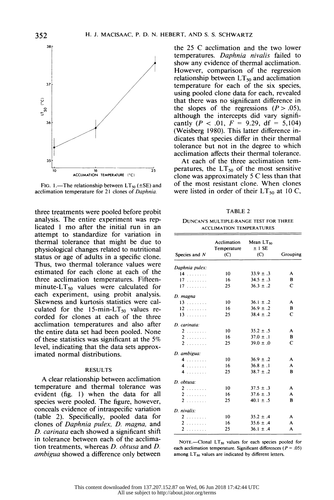

FIG. 1.—The relationship between  $LT_{50} (\pm SE)$  and acclimation temperature for 21 clones of Daphnia.

 three treatments were pooled before probit analysis. The entire experiment was rep licated 1 mo after the initial run in an attempt to standardize for variation in thermal tolerance that might be due to physiological changes related to nutritional status or age of adults in a specific clone. Thus, two thermal tolerance values were estimated for each clone at each of the three acclimation temperatures. Fifteen minute- $LT_{50}$  values were calculated for each experiment, using probit analysis. Skewness and kurtosis statistics were cal culated for the 15-min-L<sub>150</sub> values re corded for clones at each of the three acclimation temperatures and also after the entire data set had been pooled. None of these statistics was significant at the 5% level, indicating that the data sets approx imated normal distributions.

## RESULTS

 A clear relationship between acclimation temperature and thermal tolerance was evident (fig. 1) when the data for all species were pooled. The figure, however, conceals evidence of intraspecific variation (table 2). Specifically, pooled data for clones of Daphnia pulex, D. magna, and D. carinata each showed a significant shift in tolerance between each of the acclima tion treatments, whereas D. obtusa and D. ambigua showed a difference only between  the 25 C acclimation and the two lower temperatures. Daphnia nivalis failed to show any evidence of thermal acclimation. However, comparison of the regression relationship between  $LT_{50}$  and acclimation temperature for each of the six species, using pooled clone data for each, revealed that there was no significant difference in the slopes of the regressions  $(P > .05)$ , although the intercepts did vary signifi cantly ( $P < .01$ ,  $F = 9.29$ , df = 5,104) (Weisberg 1980). This latter difference in dicates that species differ in their thermal tolerance but not in the degree to which acclimation affects their thermal tolerance.

 At each of the three acclimation tem peratures, the  $LT_{50}$  of the most sensitive clone was approximately 5 C less than that of the most resistant clone. When clones were listed in order of their  $LT_{50}$  at 10 C,

TABLE 2

 DUNCAN'S MULTIPLE-RANGE TEST FOR THREE ACCLIMATION TEMPERATURES

|                 | Acclimation<br>Temperature | Mean $LT_{50}$<br>$±1$ SE |              |  |
|-----------------|----------------------------|---------------------------|--------------|--|
| Species and $N$ | (C)                        | (C)                       | Grouping     |  |
| Daphnia pulex:  |                            |                           |              |  |
| 14              | 10                         | $33.9 \pm .3$             | A            |  |
| 17              | 16                         | $34.5 \pm .3$             | B            |  |
| 17              | 25                         | $36.3 \pm .2$             | C            |  |
| D. magna        |                            |                           |              |  |
| 13              | 10                         | $36.1 \pm .2$             | А            |  |
| 12              | 16                         | $36.9 \pm .2$             | B            |  |
| 13              | 25                         | $38.4 \pm .2$             | C            |  |
| D. carinata:    |                            |                           |              |  |
| 2               | 10                         | $35.2 \pm .5$             | A            |  |
| 2.              | 16                         | $37.0 \pm .1$             | в            |  |
| 2.              | 25                         | $39.0 \pm .0$             | $\mathsf{C}$ |  |
| D. ambigua:     |                            |                           |              |  |
| 4.1.1.1.1.1.    | 10 <sup>10</sup>           | $36.9 \pm .2$             | A            |  |
| 4.1.1.1.1.1.    | 16                         | $36.8 \pm .1$             | A            |  |
| 4.              | 25                         | $38.7 \pm .2$             | B            |  |
| D. obtusa:      |                            |                           |              |  |
| $2$             | 10                         | $37.5 \pm .3$             | A            |  |
| 2.              | 16                         | $37.6 \pm .3$             | A            |  |
| 2.              | 25                         | $40.1 \pm .5$             | в            |  |
| D. nivalis:     |                            |                           |              |  |
| 2.              | 10                         | $35.2 \pm .4$             | A            |  |
| 2.              | 16                         | $35.6 \pm .4$             | A            |  |
| 2.              | 25                         | $36.1 \pm .4$             | A            |  |

NOTE.--Clonal  $LT_{50}$  values for each species pooled for each acclimation temperature. Significant differences ( $P = .05$ ) among  $LT_{50}$  values are indicated by different letters.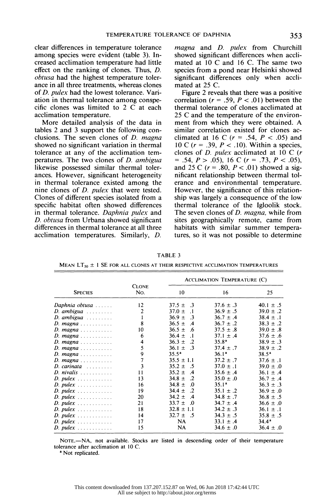clear differences in temperature tolerance among species were evident (table 3). In creased acclimation temperature had little effect on the ranking of clones. Thus, D. obtusa had the highest temperature toler ance in all three treatments, whereas clones of D. pulex had the lowest tolerance. Vari ation in thermal tolerance among conspe cific clones was limited to 2 C at each acclimation temperature.

 More detailed analysis of the data in tables 2 and 3 support the following con clusions. The seven clones of  $D$ . magna showed no significant variation in thermal tolerance at any of the acclimation tem peratures. The two clones of D. ambigua likewise possessed similar thermal toler ances. However, significant heterogeneity in thermal tolerance existed among the nine clones of D. pulex that were tested. Clones of different species isolated from a specific habitat often showed differences in thermal tolerance. Daphnia pulex and D. obtusa from Urbana showed significant differences in thermal tolerance at all three acclimation temperatures. Similarly, D.

magna and *D. pulex* from Churchill showed significant differences when accli mated at 10 C and 16 C. The same two species from a pond near Helsinki showed significant differences only when accli mated at 25 C.

 Figure 2 reveals that there was a positive correlation ( $r = .59$ ,  $P < .01$ ) between the thermal tolerance of clones acclimated at 25 C and the temperature of the environ ment from which they were obtained. A similar correlation existed for clones ac climated at 16 C  $(r = .54, P < .05)$  and 10 C ( $r = .39$ ,  $P < .10$ ). Within a species, clones of  $D.$  pulex acclimated at  $10 \text{ C}$  ( $r$ )  $= .54, P > .05$ , 16 C ( $r = .73, P < .05$ ), and 25 C ( $r = .80$ ,  $P < .01$ ) showed a sig nificant relationship between thermal tol erance and environmental temperature. However, the significance of this relation ship was largely a consequence of the low thermal tolerance of the Igloolik stock. The seven clones of *D. magna*, while from sites geographically remote, came from habitats with similar summer tempera tures, so it was not possible to determine

ACCLIMATION TEMPERATURE (C)

TABLE 3

MEAN LT<sub>50</sub>  $\pm$  1 SE FOR ALL CLONES AT THEIR RESPECTIVE ACCLIMATION TEMPERATURES

| <b>SPECIES</b>                                 | <b>CLONE</b><br>No.     | ACCLIMATION TEMPERATURE (C)           |                   |                |
|------------------------------------------------|-------------------------|---------------------------------------|-------------------|----------------|
|                                                |                         | 10                                    | 16                | 25             |
| Daphnia obtusa                                 | 12                      | $\cdot$ .3<br>$37.5 \pm$              | $37.6 \pm .3$     | $40.1 \pm .5$  |
| $D.$ ambigua $\ldots \ldots$                   | $\overline{c}$          | $37.0 \pm$<br>$\cdot$ 1               | $36.9 \pm .5$     | $39.0 \pm .2$  |
| $D.$ ambigua $\ldots \ldots$                   | 1                       | $36.9 \pm$<br>- 3                     | $36.7 \pm .4$     | $38.4 \pm .1$  |
|                                                | 8                       | $36.5 \pm$<br>$\cdot$ 4               | $36.7 \pm .2$     | $38.3 \pm .2$  |
| D. magna                                       | 10                      | $36.5 \pm$<br>-6                      | $37.5 \pm .8$     | $39.0 \pm .8$  |
| D. magna                                       | 6                       | $36.4 \pm$<br>$\cdot$ 1               | $37.1 + .4$       | $37.6 \pm .6$  |
| $D. magna \ldots $                             | 4                       | $36.3 \pm$<br>$\cdot$ 2               | $35.8^{\circ}$    | $38.9 \pm .3$  |
| $D. magna \ldots $                             | 5                       | $36.1 \pm$<br>$\overline{\mathbf{3}}$ | $37.4 \pm .7$     | $38.9 \pm .2$  |
| D. magna                                       | 9                       | $35.5^{\circ}$                        | 36.1 <sup>a</sup> | $38.5^{\circ}$ |
| $D. magna \ldots $                             | 7                       | $35.5 \pm 1.1$                        | $37.2 \pm .7$     | $37.6 \pm .1$  |
| $D.$ carinata $\ldots \ldots$                  | $\overline{\mathbf{3}}$ | $35.2 \pm .5$                         | $37.0 \pm .1$     | $39.0 \pm .0$  |
| $D.$ nivalis                                   | 11                      | $35.2 \pm$<br>$\cdot$                 | $35.6 \pm .4$     | $36.1 \pm .4$  |
| $D. \text{ pulse} \times \ldots \times \ldots$ | 13                      | 34.8 $\pm$<br>$\cdot$ 2               | $35.0 \pm .0$     | $36.7 \pm .4$  |
| $D. pulse x \ldots \ldots \ldots$              | 16                      | $34.8 \pm$<br>$\Omega$                | 35.1 <sup>a</sup> | $36.3 \pm .3$  |
| $D. \text{ pulse} \times \ldots \times \ldots$ | 19                      | 34.4 $\pm$<br>$\cdot$ 2               | $35.1 \pm .2$     | $36.9 \pm .0$  |
| $D. \text{ pulse} \times \ldots \times \ldots$ | 20                      | $34.2 \pm$<br>$\cdot$ 4               | $34.8 \pm .7$     | $36.8 \pm .5$  |
| $D. \textit{pulex}$                            | 21                      | $33.7 \pm$<br>-0                      | $34.7 \pm .4$     | $36.6 \pm .0$  |
|                                                | 18                      | $32.8 \pm 1.1$                        | $34.2 \pm .3$     | $36.1 \pm .1$  |
|                                                | 14                      | 32.7 $\pm$ .5                         | $34.3 \pm .5$     | $35.8 \pm .5$  |
| $D. \text{ pulse} \dots \dots \dots$           | 17                      | NA.                                   | $33.1 \pm .4$     | $34.4^{\circ}$ |
| $D. \text{ pulse} \dots \dots \dots$           | 15                      | NA.                                   | $34.6 \pm .0$     | $36.4 \pm .0$  |

NOTE.-NA, not available. Stocks are listed in descending order of their temperature tolerance after acclimation at 10 C.

<sup>a</sup> Not replicated.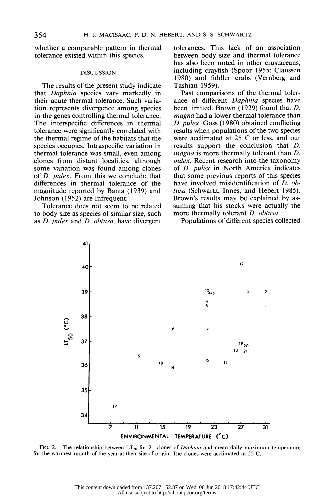whether a comparable pattern in thermal tolerance existed within this species.

#### **DISCUSSION**

 The results of the present study indicate that Daphnia species vary markedly in their acute thermal tolerance. Such varia tion represents divergence among species in the genes controlling thermal tolerance. The interspecific differences in thermal tolerance were significantly correlated with the thermal regime of the habitats that the species occupies. Intraspecific variation in thermal tolerance was small, even among clones from distant localities, although some variation was found among clones of D. pulex. From this we conclude that differences in thermal tolerance of the magnitude reported by Banta (1939) and Johnson (1952) are infrequent.

 Tolerance does not seem to be related to body size as species of similar size, such as D. pulex and D. obtusa, have divergent  tolerances. This lack of an association between body size and thermal tolerance has also been noted in other crustaceans, including crayfish (Spoor 1955; Claussen 1980) and fiddler crabs (Vernberg and Tashian 1959).

 Past comparisons of the thermal toler ance of different Daphnia species have been limited. Brown (1929) found that D. magna had a lower thermal tolerance than D. pulex. Goss (1980) obtained conflicting results when populations of the two species were acclimated at 25 C or less, and our results support the conclusion that D. magna is more thermally tolerant than D. pulex. Recent research into the taxonomy of D. pulex in North America indicates that some previous reports of this species have involved misidentification of D. ob tusa (Schwartz, Innes, and Hebert 1985). Brown's results may be explained by as suming that his stocks were actually the more thermally tolerant D. obtusa.



Populations of different species collected

FIG. 2.—The relationship between LT<sub>so</sub> for 21 clones of *Daphnia* and mean daily maximum temperature<br>the warmest month of the year at their site of origin. The clones were acclimated at 25 C. FIG. 2.—The relationship between  $LT_{50}$  for 21 clones of *Daphnia* and mean daily maximum temperature for the warmest month of the year at their site of origin. The clones were acclimated at 25 C.